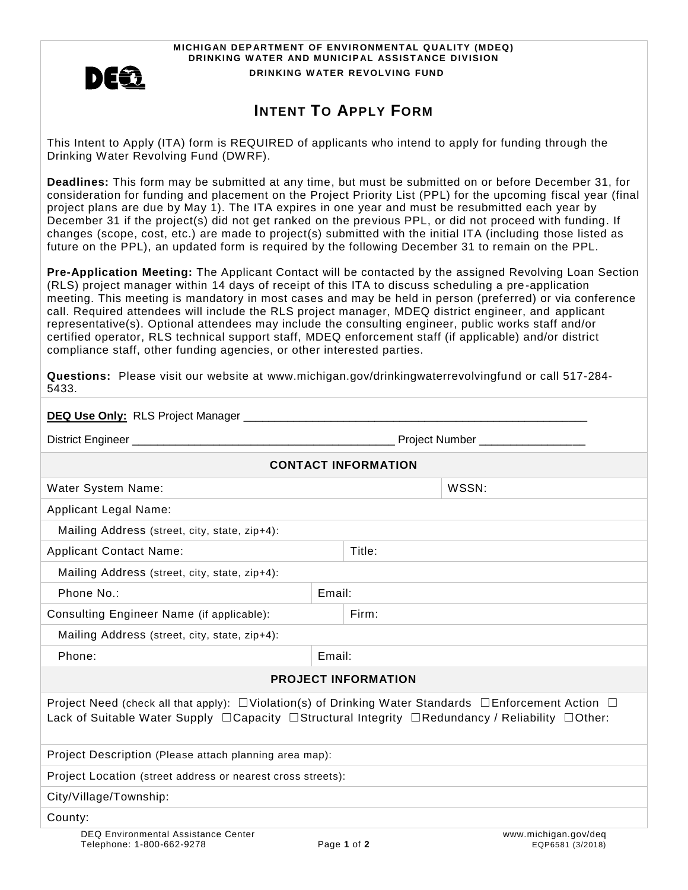

**MICHIGAN DEPARTMENT OF ENVIRONMENTAL QUALITY (MDEQ) DRINKING WATER AND MUNICIPAL ASSISTANCE DIVISION DRINKING W ATER REVOLVING FUND**

## **INTENT TO APPLY FORM**

This Intent to Apply (ITA) form is REQUIRED of applicants who intend to apply for funding through the Drinking Water Revolving Fund (DWRF).

**Deadlines:** This form may be submitted at any time, but must be submitted on or before December 31, for consideration for funding and placement on the Project Priority List (PPL) for the upcoming fiscal year (final project plans are due by May 1). The ITA expires in one year and must be resubmitted each year by December 31 if the project(s) did not get ranked on the previous PPL, or did not proceed with funding. If changes (scope, cost, etc.) are made to project(s) submitted with the initial ITA (including those listed as future on the PPL), an updated form is required by the following December 31 to remain on the PPL.

**Pre-Application Meeting:** The Applicant Contact will be contacted by the assigned Revolving Loan Section (RLS) project manager within 14 days of receipt of this ITA to discuss scheduling a pre-application meeting. This meeting is mandatory in most cases and may be held in person (preferred) or via conference call. Required attendees will include the RLS project manager, MDEQ district engineer, and applicant representative(s). Optional attendees may include the consulting engineer, public works staff and/or certified operator, RLS technical support staff, MDEQ enforcement staff (if applicable) and/or district compliance staff, other funding agencies, or other interested parties.

**Questions:** Please visit our website at www.michigan.gov/drinkingwaterrevolvingfund or call 517-284- 5433.

|                                                                                                                                                                                                                                                  |        | Project Number ___________________ |  |  |
|--------------------------------------------------------------------------------------------------------------------------------------------------------------------------------------------------------------------------------------------------|--------|------------------------------------|--|--|
|                                                                                                                                                                                                                                                  |        | <b>CONTACT INFORMATION</b>         |  |  |
| <b>Water System Name:</b>                                                                                                                                                                                                                        |        | WSSN:                              |  |  |
| <b>Applicant Legal Name:</b>                                                                                                                                                                                                                     |        |                                    |  |  |
| Mailing Address (street, city, state, zip+4):                                                                                                                                                                                                    |        |                                    |  |  |
| <b>Applicant Contact Name:</b>                                                                                                                                                                                                                   |        | Title:                             |  |  |
| Mailing Address (street, city, state, zip+4):                                                                                                                                                                                                    |        |                                    |  |  |
| Phone No.:                                                                                                                                                                                                                                       | Email: |                                    |  |  |
| Consulting Engineer Name (if applicable):                                                                                                                                                                                                        |        | Firm:                              |  |  |
| Mailing Address (street, city, state, zip+4):                                                                                                                                                                                                    |        |                                    |  |  |
| Phone:                                                                                                                                                                                                                                           | Email: |                                    |  |  |
|                                                                                                                                                                                                                                                  |        | <b>PROJECT INFORMATION</b>         |  |  |
| Project Need (check all that apply): $\Box$ Violation(s) of Drinking Water Standards $\Box$ Enforcement Action $\Box$<br>Lack of Suitable Water Supply $\Box$ Capacity $\Box$ Structural Integrity $\Box$ Redundancy / Reliability $\Box$ Other: |        |                                    |  |  |
| Project Description (Please attach planning area map):                                                                                                                                                                                           |        |                                    |  |  |
| Project Location (street address or nearest cross streets):                                                                                                                                                                                      |        |                                    |  |  |
| City/Village/Township:                                                                                                                                                                                                                           |        |                                    |  |  |
| County:                                                                                                                                                                                                                                          |        |                                    |  |  |
| <b>DEQ Environmental Assistance Center</b>                                                                                                                                                                                                       |        | www.michigan.gov/deq               |  |  |